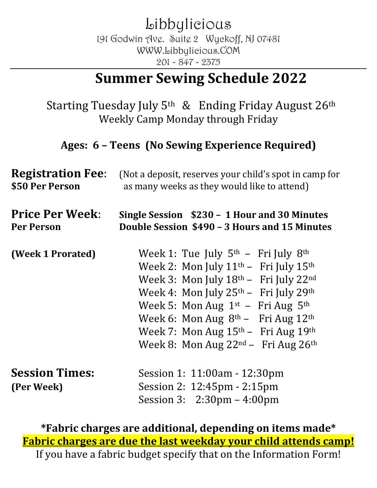Libbylicious 191 Godwin Ave. Suite 2 Wyckoff, NJ 07481 WWW.Libbylicious.COM 201 - 847 - 2375

# **Summer Sewing Schedule 2022**

Starting Tuesday July  $5<sup>th</sup>$  & Ending Friday August  $26<sup>th</sup>$ Weekly Camp Monday through Friday

#### Ages: 6 - Teens (No Sewing Experience Required)

| <b>Registration Fee:</b>            | (Not a deposit, reserves your child's spot in camp for                                                                                                                                                                                                                                                                                                                        |  |
|-------------------------------------|-------------------------------------------------------------------------------------------------------------------------------------------------------------------------------------------------------------------------------------------------------------------------------------------------------------------------------------------------------------------------------|--|
| \$50 Per Person                     | as many weeks as they would like to attend)                                                                                                                                                                                                                                                                                                                                   |  |
| <b>Price Per Week:</b>              | Single Session \$230 - 1 Hour and 30 Minutes                                                                                                                                                                                                                                                                                                                                  |  |
| <b>Per Person</b>                   | Double Session \$490 - 3 Hours and 15 Minutes                                                                                                                                                                                                                                                                                                                                 |  |
| (Week 1 Prorated)                   | Week 1: Tue July $5th$ – Fri July $8th$<br>Week 2: Mon July 11 <sup>th</sup> - Fri July 15 <sup>th</sup><br>Week 3: Mon July 18th - Fri July 22nd<br>Week 4: Mon July $25th$ – Fri July $29th$<br>Week 5: Mon Aug $1st$ – Fri Aug $5th$<br>Week 6: Mon Aug $8th$ – Fri Aug $12th$<br>Week 7: Mon Aug $15th$ – Fri Aug $19th$<br>Week 8: Mon Aug $22^{nd}$ – Fri Aug $26^{th}$ |  |
| <b>Session Times:</b><br>(Per Week) | Session 1: 11:00am - 12:30pm<br>Session 2: 12:45pm - 2:15pm<br>Session 3: $2:30 \text{pm} - 4:00 \text{pm}$                                                                                                                                                                                                                                                                   |  |

\*Fabric charges are additional, depending on items made\* **Fabric charges are due the last weekday your child attends camp!** If you have a fabric budget specify that on the Information Form!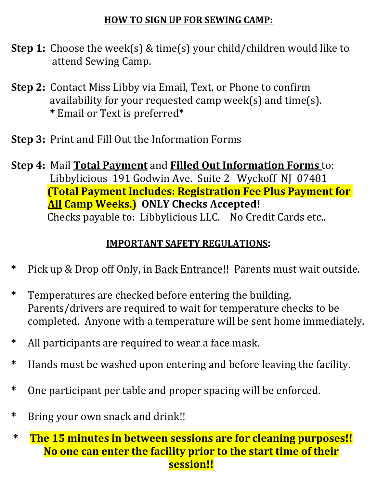### **HOW TO SIGN UP FOR SEWING CAMP:**

- **Step 1:** Choose the week(s) & time(s) your child/children would like to attend Sewing Camp.
- **Step 2:** Contact Miss Libby via Email, Text, or Phone to confirm availability for your requested camp week(s) and  $time(s)$ .  **\*** Email or Text is preferred\*
- **Step 3:** Print and Fill Out the Information Forms
- **Step 4: Mail Total Payment and Filled Out Information Forms to:** Libbylicious 191 Godwin Ave. Suite 2 Wyckoff NJ 07481 **(Total Payment Includes: Registration Fee Plus Payment for All Camp Weeks.)** ONLY Checks Accepted! Checks payable to: Libbylicious LLC. No Credit Cards etc..

## **IMPORTANT SAFETY REGULATIONS:**

- \* Pick up & Drop off Only, in **Back Entrance!!** Parents must wait outside.
- \* Temperatures are checked before entering the building. Parents/drivers are required to wait for temperature checks to be completed. Anyone with a temperature will be sent home immediately.
- \* All participants are required to wear a face mask.
- \* Hands must be washed upon entering and before leaving the facility.
- \* One participant per table and proper spacing will be enforced.
- \* Bring your own snack and drink!!

### \* The 15 minutes in between sessions are for cleaning purposes!! **No one can enter the facility prior to the start time of their session!!**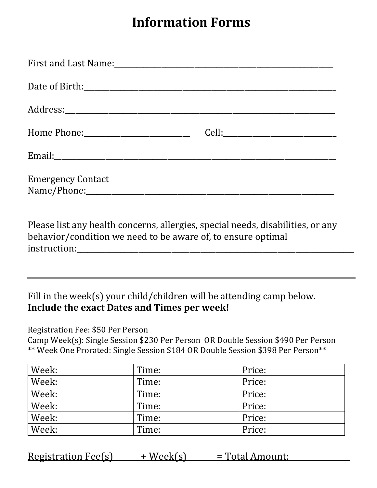# **Information Forms**

| Email: <u>Commission Commission Commission Commission Commission Commission Commission Commission Commission Commission</u>                                                                                                                                |  |
|------------------------------------------------------------------------------------------------------------------------------------------------------------------------------------------------------------------------------------------------------------|--|
| <b>Emergency Contact</b><br>Name/Phone: Mame and Manual Assembly and Manual Assembly and Manual Assembly and Manual Assembly and Manual Assembly and Manual Assembly and Manual Assembly and Manual Assembly and Manual Assembly and Manual Assembly and M |  |

Please list any health concerns, allergies, special needs, disabilities, or any behavior/condition we need to be aware of, to ensure optimal instruction:

#### Fill in the week(s) your child/children will be attending camp below. **Include the exact Dates and Times per week!**

Registration Fee: \$50 Per Person 

Camp Week(s): Single Session \$230 Per Person OR Double Session \$490 Per Person \*\* Week One Prorated: Single Session \$184 OR Double Session \$398 Per Person\*\*

| Week: | Time: | Price: |
|-------|-------|--------|
| Week: | Time: | Price: |
| Week: | Time: | Price: |
| Week: | Time: | Price: |
| Week: | Time: | Price: |
| Week: | Time: | Price: |

Registration Fee(s)  $+$  Week(s)  $=$  Total Amount: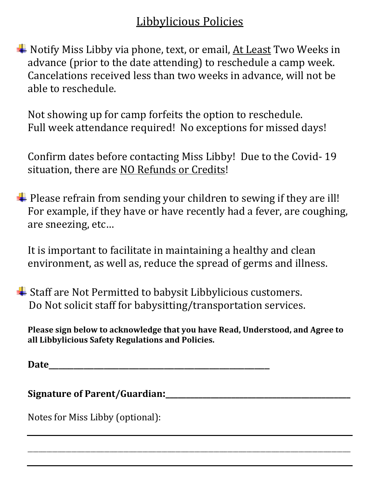## **Libbylicious Policies**

Notify Miss Libby via phone, text, or email, At Least Two Weeks in advance (prior to the date attending) to reschedule a camp week. Cancelations received less than two weeks in advance, will not be able to reschedule.

Not showing up for camp forfeits the option to reschedule. Full week attendance required! No exceptions for missed days!

Confirm dates before contacting Miss Libby! Due to the Covid- 19 situation, there are NO Refunds or Credits!

 $\blacktriangle$  Please refrain from sending your children to sewing if they are ill! For example, if they have or have recently had a fever, are coughing, are sneezing, etc...

It is important to facilitate in maintaining a healthy and clean environment, as well as, reduce the spread of germs and illness.

 $\blacktriangle$  Staff are Not Permitted to babysit Libbylicious customers. Do Not solicit staff for babysitting/transportation services.

Please sign below to acknowledge that you have Read, Understood, and Agree to **all Libbylicious Safety Regulations and Policies.**

\_\_\_\_\_\_\_\_\_\_\_\_\_\_\_\_\_\_\_\_\_\_\_\_\_\_\_\_\_\_\_\_\_\_\_\_\_\_\_\_\_\_\_\_\_\_\_\_\_\_\_\_\_\_\_\_\_\_\_\_\_\_\_\_\_\_\_\_\_\_\_\_\_\_\_\_\_\_\_\_\_\_\_\_\_\_\_\_\_\_\_\_\_\_\_\_\_\_\_\_\_\_\_\_\_\_\_\_\_\_\_\_\_\_\_\_\_\_

**Date**\_\_\_\_\_\_\_\_\_\_\_\_\_\_\_\_\_\_\_\_\_\_\_\_\_\_\_\_\_\_\_\_\_\_\_\_\_\_\_\_\_\_\_\_

Signature of Parent/Guardian:

Notes for Miss Libby (optional):